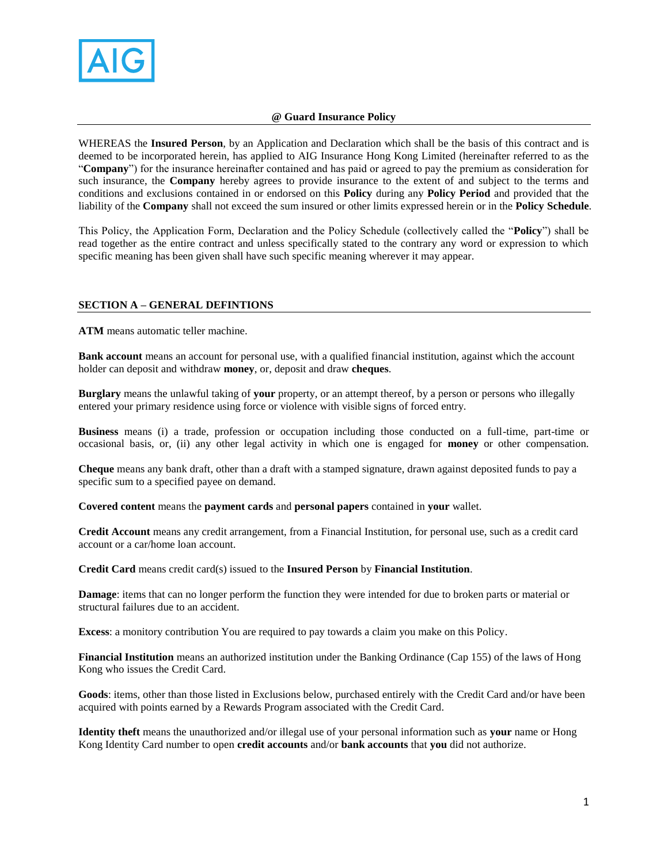

# **@ Guard Insurance Policy**

WHEREAS the **Insured Person**, by an Application and Declaration which shall be the basis of this contract and is deemed to be incorporated herein, has applied to AIG Insurance Hong Kong Limited (hereinafter referred to as the "**Company**") for the insurance hereinafter contained and has paid or agreed to pay the premium as consideration for such insurance, the **Company** hereby agrees to provide insurance to the extent of and subject to the terms and conditions and exclusions contained in or endorsed on this **Policy** during any **Policy Period** and provided that the liability of the **Company** shall not exceed the sum insured or other limits expressed herein or in the **Policy Schedule**.

This Policy, the Application Form, Declaration and the Policy Schedule (collectively called the "**Policy**") shall be read together as the entire contract and unless specifically stated to the contrary any word or expression to which specific meaning has been given shall have such specific meaning wherever it may appear.

# **SECTION A – GENERAL DEFINTIONS**

**ATM** means automatic teller machine.

**Bank account** means an account for personal use, with a qualified financial institution, against which the account holder can deposit and withdraw **money**, or, deposit and draw **cheques**.

**Burglary** means the unlawful taking of **your** property, or an attempt thereof, by a person or persons who illegally entered your primary residence using force or violence with visible signs of forced entry.

**Business** means (i) a trade, profession or occupation including those conducted on a full-time, part-time or occasional basis, or, (ii) any other legal activity in which one is engaged for **money** or other compensation.

**Cheque** means any bank draft, other than a draft with a stamped signature, drawn against deposited funds to pay a specific sum to a specified payee on demand.

**Covered content** means the **payment cards** and **personal papers** contained in **your** wallet.

**Credit Account** means any credit arrangement, from a Financial Institution, for personal use, such as a credit card account or a car/home loan account.

**Credit Card** means credit card(s) issued to the **Insured Person** by **Financial Institution**.

**Damage**: items that can no longer perform the function they were intended for due to broken parts or material or structural failures due to an accident.

**Excess**: a monitory contribution You are required to pay towards a claim you make on this Policy.

**Financial Institution** means an authorized institution under the Banking Ordinance (Cap 155) of the laws of Hong Kong who issues the Credit Card.

**Goods**: items, other than those listed in Exclusions below, purchased entirely with the Credit Card and/or have been acquired with points earned by a Rewards Program associated with the Credit Card.

**Identity theft** means the unauthorized and/or illegal use of your personal information such as **your** name or Hong Kong Identity Card number to open **credit accounts** and/or **bank accounts** that **you** did not authorize.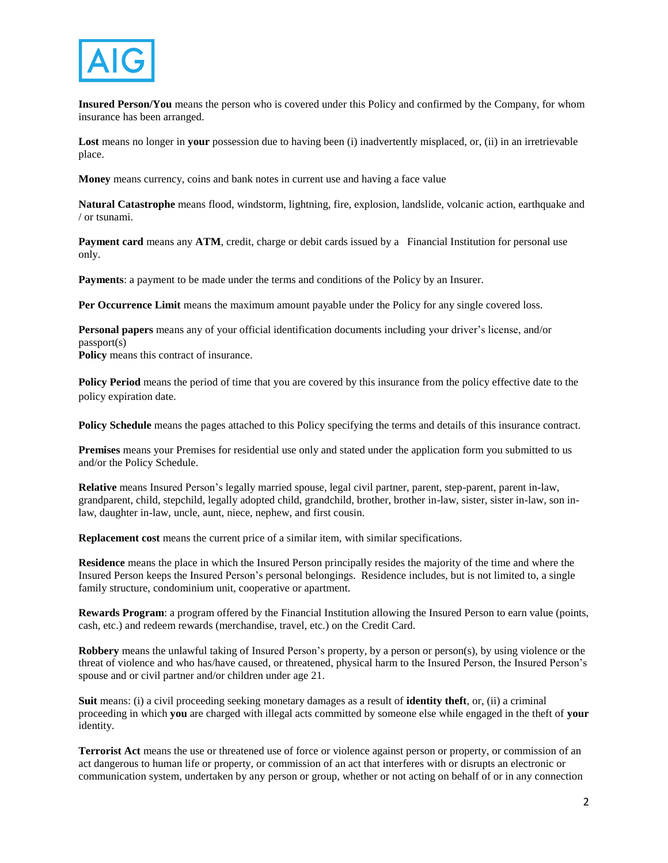

**Insured Person/You** means the person who is covered under this Policy and confirmed by the Company, for whom insurance has been arranged.

**Lost** means no longer in **your** possession due to having been (i) inadvertently misplaced, or, (ii) in an irretrievable place.

**Money** means currency, coins and bank notes in current use and having a face value

**Natural Catastrophe** means flood, windstorm, lightning, fire, explosion, landslide, volcanic action, earthquake and / or tsunami.

**Payment card** means any **ATM**, credit, charge or debit cards issued by a Financial Institution for personal use only.

**Payments**: a payment to be made under the terms and conditions of the Policy by an Insurer.

**Per Occurrence Limit** means the maximum amount payable under the Policy for any single covered loss.

**Personal papers** means any of your official identification documents including your driver's license, and/or passport(s) **Policy** means this contract of insurance.

**Policy Period** means the period of time that you are covered by this insurance from the policy effective date to the policy expiration date.

**Policy Schedule** means the pages attached to this Policy specifying the terms and details of this insurance contract.

**Premises** means your Premises for residential use only and stated under the application form you submitted to us and/or the Policy Schedule.

**Relative** means Insured Person's legally married spouse, legal civil partner, parent, step-parent, parent in-law, grandparent, child, stepchild, legally adopted child, grandchild, brother, brother in-law, sister, sister in-law, son inlaw, daughter in-law, uncle, aunt, niece, nephew, and first cousin.

**Replacement cost** means the current price of a similar item, with similar specifications.

**Residence** means the place in which the Insured Person principally resides the majority of the time and where the Insured Person keeps the Insured Person's personal belongings. Residence includes, but is not limited to, a single family structure, condominium unit, cooperative or apartment.

**Rewards Program**: a program offered by the Financial Institution allowing the Insured Person to earn value (points, cash, etc.) and redeem rewards (merchandise, travel, etc.) on the Credit Card.

**Robbery** means the unlawful taking of Insured Person's property, by a person or person(s), by using violence or the threat of violence and who has/have caused, or threatened, physical harm to the Insured Person, the Insured Person's spouse and or civil partner and/or children under age 21.

**Suit** means: (i) a civil proceeding seeking monetary damages as a result of **identity theft**, or, (ii) a criminal proceeding in which **you** are charged with illegal acts committed by someone else while engaged in the theft of **your** identity.

**Terrorist Act** means the use or threatened use of force or violence against person or property, or commission of an act dangerous to human life or property, or commission of an act that interferes with or disrupts an electronic or communication system, undertaken by any person or group, whether or not acting on behalf of or in any connection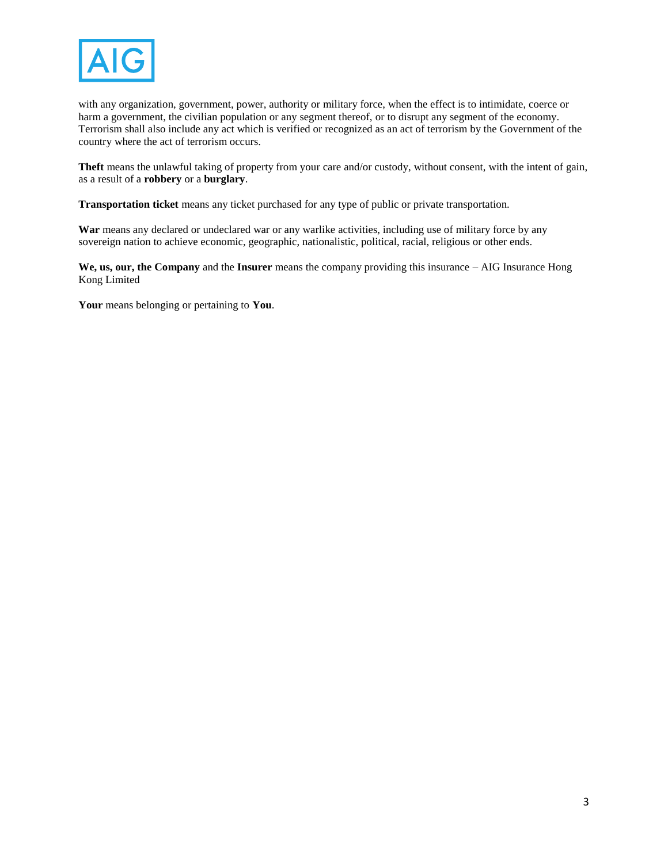

with any organization, government, power, authority or military force, when the effect is to intimidate, coerce or harm a government, the civilian population or any segment thereof, or to disrupt any segment of the economy. Terrorism shall also include any act which is verified or recognized as an act of terrorism by the Government of the country where the act of terrorism occurs.

**Theft** means the unlawful taking of property from your care and/or custody, without consent, with the intent of gain, as a result of a **robbery** or a **burglary**.

**Transportation ticket** means any ticket purchased for any type of public or private transportation.

**War** means any declared or undeclared war or any warlike activities, including use of military force by any sovereign nation to achieve economic, geographic, nationalistic, political, racial, religious or other ends.

**We, us, our, the Company** and the **Insurer** means the company providing this insurance – AIG Insurance Hong Kong Limited

**Your** means belonging or pertaining to **You**.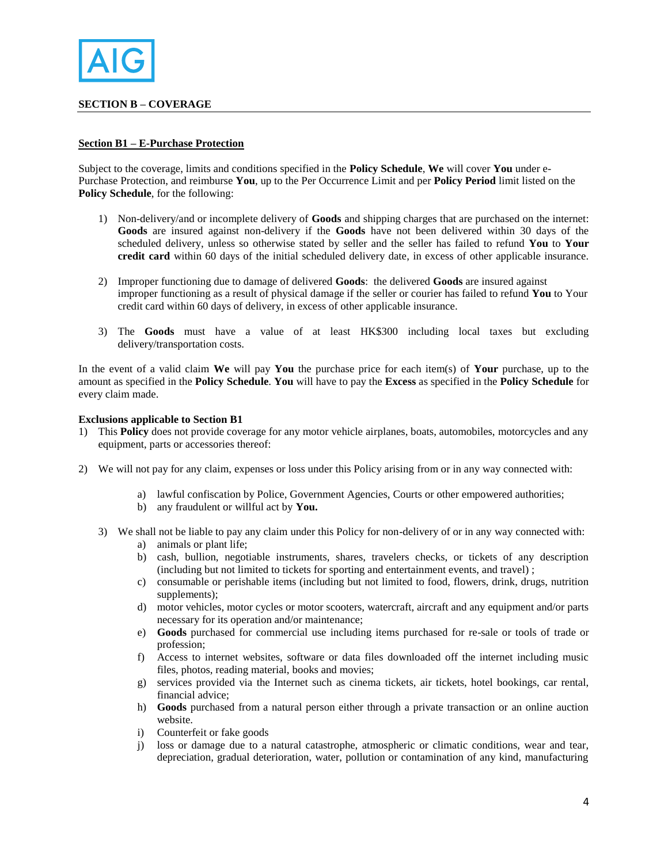

## **SECTION B – COVERAGE**

#### **Section B1 – E-Purchase Protection**

Subject to the coverage, limits and conditions specified in the **Policy Schedule**, **We** will cover **You** under e-Purchase Protection, and reimburse **You**, up to the Per Occurrence Limit and per **Policy Period** limit listed on the **Policy Schedule**, for the following:

- 1) Non-delivery/and or incomplete delivery of **Goods** and shipping charges that are purchased on the internet: **Goods** are insured against non-delivery if the **Goods** have not been delivered within 30 days of the scheduled delivery, unless so otherwise stated by seller and the seller has failed to refund **You** to **Your credit card** within 60 days of the initial scheduled delivery date, in excess of other applicable insurance.
- 2) Improper functioning due to damage of delivered **Goods**: the delivered **Goods** are insured against improper functioning as a result of physical damage if the seller or courier has failed to refund **You** to Your credit card within 60 days of delivery, in excess of other applicable insurance.
- 3) The **Goods** must have a value of at least HK\$300 including local taxes but excluding delivery/transportation costs.

In the event of a valid claim **We** will pay **You** the purchase price for each item(s) of **Your** purchase, up to the amount as specified in the **Policy Schedule**. **You** will have to pay the **Excess** as specified in the **Policy Schedule** for every claim made.

#### **Exclusions applicable to Section B1**

- 1) This **Policy** does not provide coverage for any motor vehicle airplanes, boats, automobiles, motorcycles and any equipment, parts or accessories thereof:
- 2) We will not pay for any claim, expenses or loss under this Policy arising from or in any way connected with:
	- a) lawful confiscation by Police, Government Agencies, Courts or other empowered authorities;
	- b) any fraudulent or willful act by **You.**
	- 3) We shall not be liable to pay any claim under this Policy for non-delivery of or in any way connected with:
		- a) animals or plant life;
		- b) cash, bullion, negotiable instruments, shares, travelers checks, or tickets of any description (including but not limited to tickets for sporting and entertainment events, and travel) ;
		- c) consumable or perishable items (including but not limited to food, flowers, drink, drugs, nutrition supplements);
		- d) motor vehicles, motor cycles or motor scooters, watercraft, aircraft and any equipment and/or parts necessary for its operation and/or maintenance;
		- e) **Goods** purchased for commercial use including items purchased for re-sale or tools of trade or profession;
		- f) Access to internet websites, software or data files downloaded off the internet including music files, photos, reading material, books and movies;
		- g) services provided via the Internet such as cinema tickets, air tickets, hotel bookings, car rental, financial advice;
		- h) **Goods** purchased from a natural person either through a private transaction or an online auction website.
		- i) Counterfeit or fake goods
		- j) loss or damage due to a natural catastrophe, atmospheric or climatic conditions, wear and tear, depreciation, gradual deterioration, water, pollution or contamination of any kind, manufacturing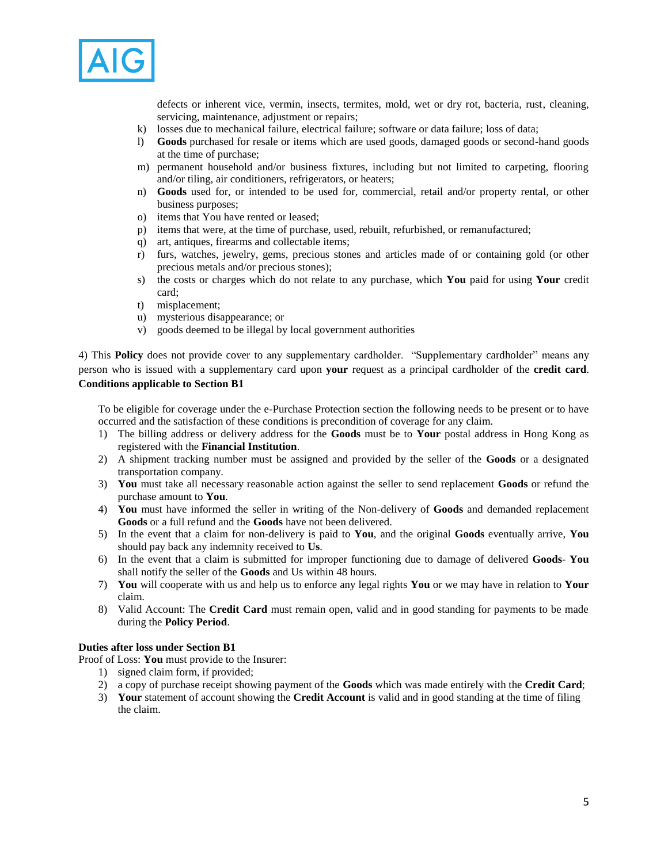

defects or inherent vice, vermin, insects, termites, mold, wet or dry rot, bacteria, rust, cleaning, servicing, maintenance, adjustment or repairs;

- k) losses due to mechanical failure, electrical failure; software or data failure; loss of data;
- l) **Goods** purchased for resale or items which are used goods, damaged goods or second-hand goods at the time of purchase;
- m) permanent household and/or business fixtures, including but not limited to carpeting, flooring and/or tiling, air conditioners, refrigerators, or heaters;
- n) **Goods** used for, or intended to be used for, commercial, retail and/or property rental, or other business purposes;
- o) items that You have rented or leased;
- p) items that were, at the time of purchase, used, rebuilt, refurbished, or remanufactured;
- q) art, antiques, firearms and collectable items;
- r) furs, watches, jewelry, gems, precious stones and articles made of or containing gold (or other precious metals and/or precious stones);
- s) the costs or charges which do not relate to any purchase, which **You** paid for using **Your** credit card;
- t) misplacement;
- u) mysterious disappearance; or
- v) goods deemed to be illegal by local government authorities

4) This **Policy** does not provide cover to any supplementary cardholder. "Supplementary cardholder" means any person who is issued with a supplementary card upon **your** request as a principal cardholder of the **credit card**. **Conditions applicable to Section B1**

To be eligible for coverage under the e-Purchase Protection section the following needs to be present or to have occurred and the satisfaction of these conditions is precondition of coverage for any claim.

- 1) The billing address or delivery address for the **Goods** must be to **Your** postal address in Hong Kong as registered with the **Financial Institution**.
- 2) A shipment tracking number must be assigned and provided by the seller of the **Goods** or a designated transportation company.
- 3) **You** must take all necessary reasonable action against the seller to send replacement **Goods** or refund the purchase amount to **You**.
- 4) **You** must have informed the seller in writing of the Non-delivery of **Goods** and demanded replacement **Goods** or a full refund and the **Goods** have not been delivered.
- 5) In the event that a claim for non-delivery is paid to **You**, and the original **Goods** eventually arrive, **You**  should pay back any indemnity received to **Us**.
- 6) In the event that a claim is submitted for improper functioning due to damage of delivered **Goods You** shall notify the seller of the **Goods** and Us within 48 hours.
- 7) **You** will cooperate with us and help us to enforce any legal rights **You** or we may have in relation to **Your** claim.
- 8) Valid Account: The **Credit Card** must remain open, valid and in good standing for payments to be made during the **Policy Period**.

# **Duties after loss under Section B1**

Proof of Loss: **You** must provide to the Insurer:

- 1) signed claim form, if provided;
- 2) a copy of purchase receipt showing payment of the **Goods** which was made entirely with the **Credit Card**;
- 3) **Your** statement of account showing the **Credit Account** is valid and in good standing at the time of filing the claim.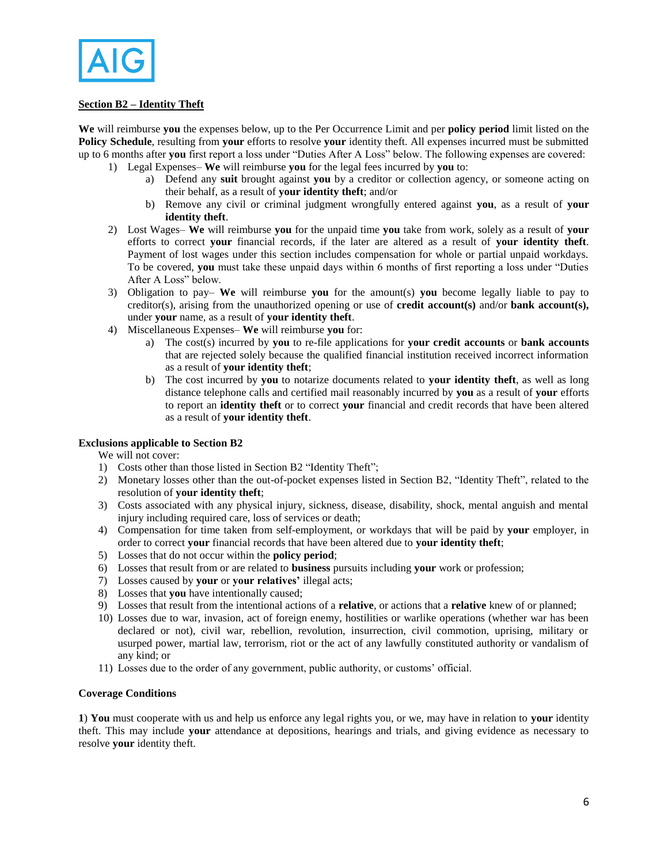

# **Section B2 – Identity Theft**

**We** will reimburse **you** the expenses below, up to the Per Occurrence Limit and per **policy period** limit listed on the **Policy Schedule**, resulting from **your** efforts to resolve **your** identity theft. All expenses incurred must be submitted up to 6 months after **you** first report a loss under "Duties After A Loss" below. The following expenses are covered:

- 1) Legal Expenses– **We** will reimburse **you** for the legal fees incurred by **you** to:
	- a) Defend any **suit** brought against **you** by a creditor or collection agency, or someone acting on their behalf, as a result of **your identity theft**; and/or
	- b) Remove any civil or criminal judgment wrongfully entered against **you**, as a result of **your identity theft**.
- 2) Lost Wages– **We** will reimburse **you** for the unpaid time **you** take from work, solely as a result of **your** efforts to correct **your** financial records, if the later are altered as a result of **your identity theft**. Payment of lost wages under this section includes compensation for whole or partial unpaid workdays. To be covered, **you** must take these unpaid days within 6 months of first reporting a loss under "Duties After A Loss" below.
- 3) Obligation to pay– **We** will reimburse **you** for the amount(s) **you** become legally liable to pay to creditor(s), arising from the unauthorized opening or use of **credit account(s)** and/or **bank account(s),** under **your** name, as a result of **your identity theft**.
- 4) Miscellaneous Expenses– **We** will reimburse **you** for:
	- a) The cost(s) incurred by **you** to re-file applications for **your credit accounts** or **bank accounts** that are rejected solely because the qualified financial institution received incorrect information as a result of **your identity theft**;
	- b) The cost incurred by **you** to notarize documents related to **your identity theft**, as well as long distance telephone calls and certified mail reasonably incurred by **you** as a result of **your** efforts to report an **identity theft** or to correct **your** financial and credit records that have been altered as a result of **your identity theft**.

#### **Exclusions applicable to Section B2**

We will not cover:

- 1) Costs other than those listed in Section B2 "Identity Theft";
- 2) Monetary losses other than the out-of-pocket expenses listed in Section B2, "Identity Theft", related to the resolution of **your identity theft**;
- 3) Costs associated with any physical injury, sickness, disease, disability, shock, mental anguish and mental injury including required care, loss of services or death;
- 4) Compensation for time taken from self-employment, or workdays that will be paid by **your** employer, in order to correct **your** financial records that have been altered due to **your identity theft**;
- 5) Losses that do not occur within the **policy period**;
- 6) Losses that result from or are related to **business** pursuits including **your** work or profession;
- 7) Losses caused by **your** or **your relatives'** illegal acts;
- 8) Losses that **you** have intentionally caused;
- 9) Losses that result from the intentional actions of a **relative**, or actions that a **relative** knew of or planned;
- 10) Losses due to war, invasion, act of foreign enemy, hostilities or warlike operations (whether war has been declared or not), civil war, rebellion, revolution, insurrection, civil commotion, uprising, military or usurped power, martial law, terrorism, riot or the act of any lawfully constituted authority or vandalism of any kind; or
- 11) Losses due to the order of any government, public authority, or customs' official.

#### **Coverage Conditions**

**1**) **You** must cooperate with us and help us enforce any legal rights you, or we, may have in relation to **your** identity theft. This may include **your** attendance at depositions, hearings and trials, and giving evidence as necessary to resolve **your** identity theft.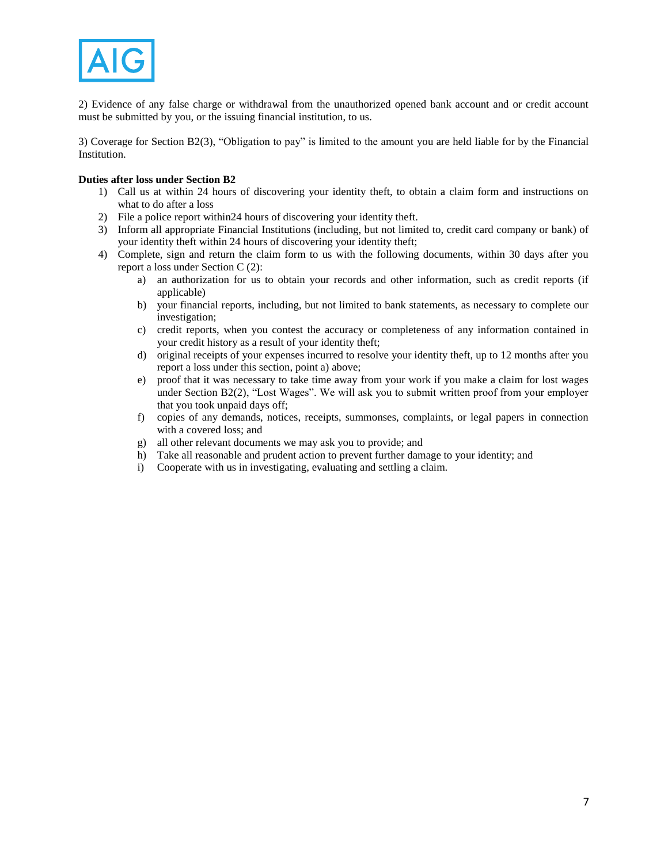

2) Evidence of any false charge or withdrawal from the unauthorized opened bank account and or credit account must be submitted by you, or the issuing financial institution, to us.

3) Coverage for Section B2(3), "Obligation to pay" is limited to the amount you are held liable for by the Financial Institution.

# **Duties after loss under Section B2**

- 1) Call us at within 24 hours of discovering your identity theft, to obtain a claim form and instructions on what to do after a loss
- 2) File a police report within24 hours of discovering your identity theft.
- 3) Inform all appropriate Financial Institutions (including, but not limited to, credit card company or bank) of your identity theft within 24 hours of discovering your identity theft;
- 4) Complete, sign and return the claim form to us with the following documents, within 30 days after you report a loss under Section C (2):
	- a) an authorization for us to obtain your records and other information, such as credit reports (if applicable)
	- b) your financial reports, including, but not limited to bank statements, as necessary to complete our investigation;
	- c) credit reports, when you contest the accuracy or completeness of any information contained in your credit history as a result of your identity theft;
	- d) original receipts of your expenses incurred to resolve your identity theft, up to 12 months after you report a loss under this section, point a) above;
	- e) proof that it was necessary to take time away from your work if you make a claim for lost wages under Section B2(2), "Lost Wages". We will ask you to submit written proof from your employer that you took unpaid days off;
	- f) copies of any demands, notices, receipts, summonses, complaints, or legal papers in connection with a covered loss; and
	- g) all other relevant documents we may ask you to provide; and
	- h) Take all reasonable and prudent action to prevent further damage to your identity; and
	- i) Cooperate with us in investigating, evaluating and settling a claim.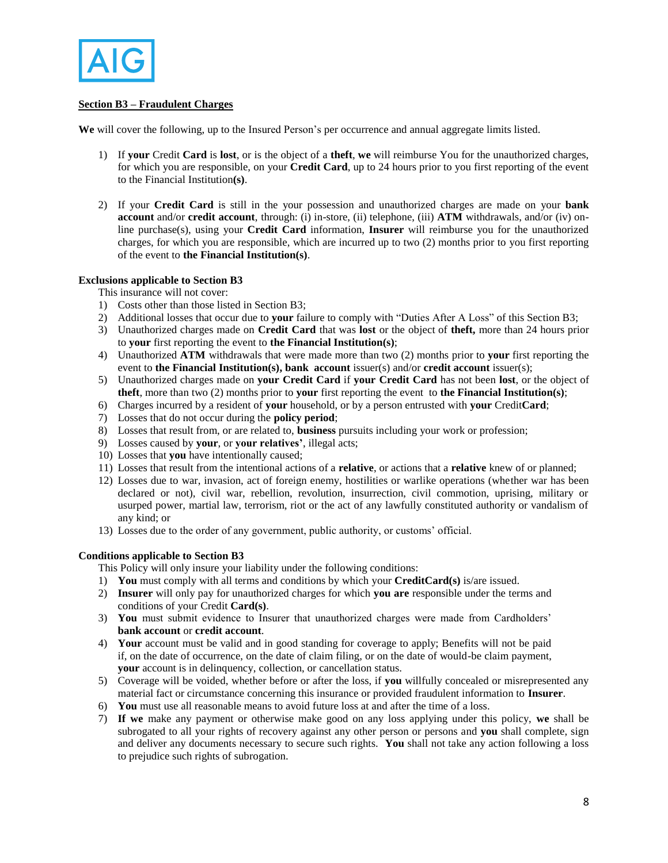

# **Section B3 – Fraudulent Charges**

**We** will cover the following, up to the Insured Person's per occurrence and annual aggregate limits listed.

- 1) If **your** Credit **Card** is **lost**, or is the object of a **theft**, **we** will reimburse You for the unauthorized charges, for which you are responsible, on your **Credit Card**, up to 24 hours prior to you first reporting of the event to the Financial Institution**(s)**.
- 2) If your **Credit Card** is still in the your possession and unauthorized charges are made on your **bank account** and/or **credit account**, through: (i) in-store, (ii) telephone, (iii) **ATM** withdrawals, and/or (iv) online purchase(s), using your **Credit Card** information, **Insurer** will reimburse you for the unauthorized charges, for which you are responsible, which are incurred up to two (2) months prior to you first reporting of the event to **the Financial Institution(s)**.

### **Exclusions applicable to Section B3**

This insurance will not cover:

- 1) Costs other than those listed in Section B3;
- 2) Additional losses that occur due to **your** failure to comply with "Duties After A Loss" of this Section B3;
- 3) Unauthorized charges made on **Credit Card** that was **lost** or the object of **theft,** more than 24 hours prior to **your** first reporting the event to **the Financial Institution(s)**;
- 4) Unauthorized **ATM** withdrawals that were made more than two (2) months prior to **your** first reporting the event to **the Financial Institution(s), bank account** issuer(s) and/or **credit account** issuer(s);
- 5) Unauthorized charges made on **your Credit Card** if **your Credit Card** has not been **lost**, or the object of **theft**, more than two (2) months prior to **your** first reporting the eventto **the Financial Institution(s)**;
- 6) Charges incurred by a resident of **your** household, or by a person entrusted with **your** Credit**Card**;
- 7) Losses that do not occur during the **policy period**;
- 8) Losses that result from, or are related to, **business** pursuits including your work or profession;
- 9) Losses caused by **your**, or **your relatives'**, illegal acts;
- 10) Losses that **you** have intentionally caused;
- 11) Losses that result from the intentional actions of a **relative**, or actions that a **relative** knew of or planned;
- 12) Losses due to war, invasion, act of foreign enemy, hostilities or warlike operations (whether war has been declared or not), civil war, rebellion, revolution, insurrection, civil commotion, uprising, military or usurped power, martial law, terrorism, riot or the act of any lawfully constituted authority or vandalism of any kind; or
- 13) Losses due to the order of any government, public authority, or customs' official.

# **Conditions applicable to Section B3**

- This Policy will only insure your liability under the following conditions:
- 1) **You** must comply with all terms and conditions by which your **CreditCard(s)** is/are issued.
- 2) **Insurer** will only pay for unauthorized charges for which **you are** responsible under the terms and conditions of your Credit **Card(s)**.
- 3) **You** must submit evidence to Insurer that unauthorized charges were made from Cardholders' **bank account** or **credit account**.
- 4) **Your** account must be valid and in good standing for coverage to apply; Benefits will not be paid if, on the date of occurrence, on the date of claim filing, or on the date of would-be claim payment, **your** account is in delinquency, collection, or cancellation status.
- 5) Coverage will be voided, whether before or after the loss, if **you** willfully concealed or misrepresented any material fact or circumstance concerning this insurance or provided fraudulent information to **Insurer**.
- 6) **You** must use all reasonable means to avoid future loss at and after the time of a loss.
- 7) **If we** make any payment or otherwise make good on any loss applying under this policy, **we** shall be subrogated to all your rights of recovery against any other person or persons and **you** shall complete, sign and deliver any documents necessary to secure such rights. **You** shall not take any action following a loss to prejudice such rights of subrogation.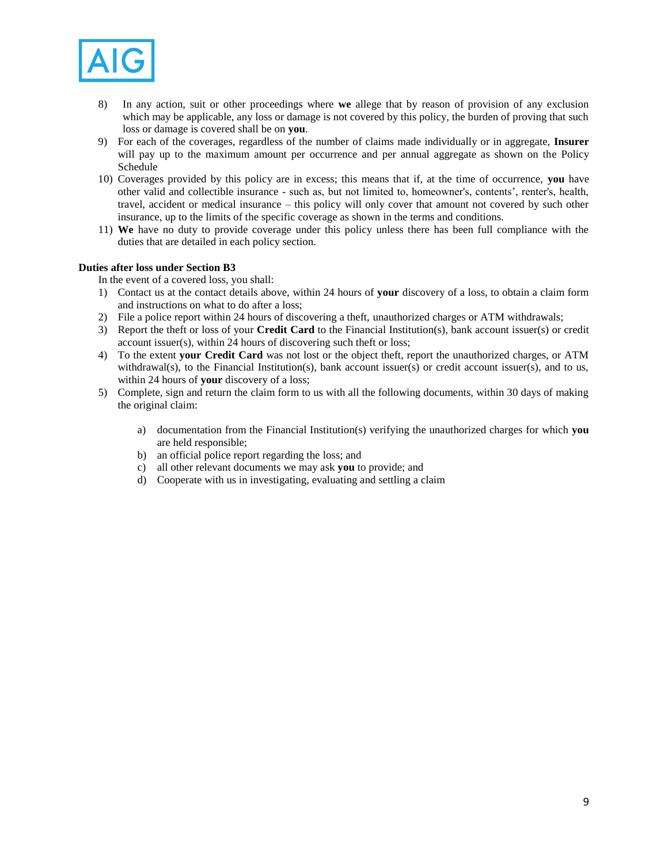

- 8) In any action, suit or other proceedings where **we** allege that by reason of provision of any exclusion which may be applicable, any loss or damage is not covered by this policy, the burden of proving that such loss or damage is covered shall be on **you**.
- 9) For each of the coverages, regardless of the number of claims made individually or in aggregate, **Insurer** will pay up to the maximum amount per occurrence and per annual aggregate as shown on the Policy Schedule
- 10) Coverages provided by this policy are in excess; this means that if, at the time of occurrence, **you** have other valid and collectible insurance - such as, but not limited to, homeowner's, contents', renter's, health, travel, accident or medical insurance – this policy will only cover that amount not covered by such other insurance, up to the limits of the specific coverage as shown in the terms and conditions.
- 11) **We** have no duty to provide coverage under this policy unless there has been full compliance with the duties that are detailed in each policy section.

### **Duties after loss under Section B3**

In the event of a covered loss, you shall:

- 1) Contact us at the contact details above, within 24 hours of **your** discovery of a loss, to obtain a claim form and instructions on what to do after a loss;
- 2) File a police report within 24 hours of discovering a theft, unauthorized charges or ATM withdrawals;
- 3) Report the theft or loss of your **Credit Card** to the Financial Institution(s), bank account issuer(s) or credit account issuer(s), within 24 hours of discovering such theft or loss;
- 4) To the extent **your Credit Card** was not lost or the object theft, report the unauthorized charges, or ATM withdrawal(s), to the Financial Institution(s), bank account issuer(s) or credit account issuer(s), and to us, within 24 hours of **your** discovery of a loss;
- 5) Complete, sign and return the claim form to us with all the following documents, within 30 days of making the original claim:
	- a) documentation from the Financial Institution(s) verifying the unauthorized charges for which **you** are held responsible;
	- b) an official police report regarding the loss; and
	- c) all other relevant documents we may ask **you** to provide; and
	- d) Cooperate with us in investigating, evaluating and settling a claim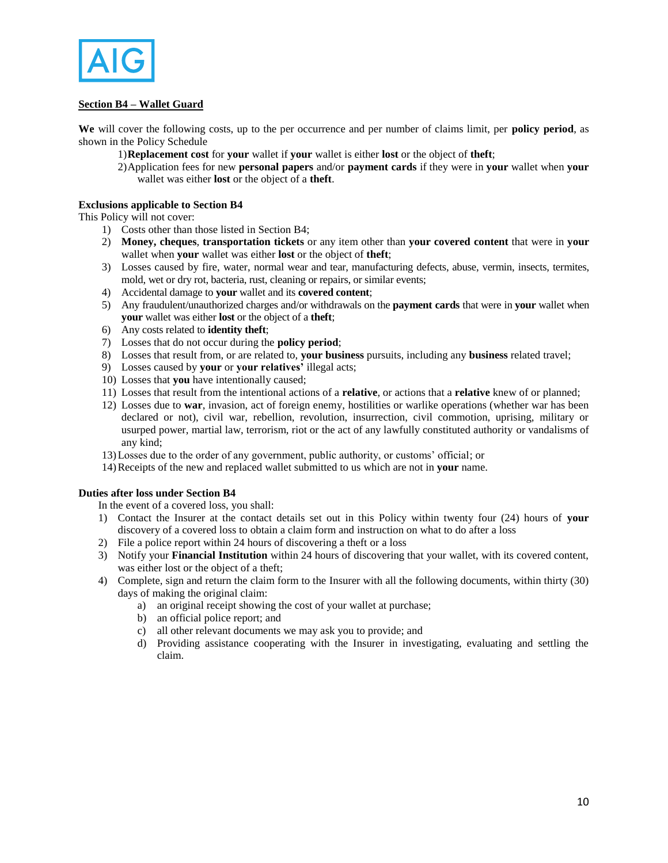

# **Section B4 – Wallet Guard**

**We** will cover the following costs, up to the per occurrence and per number of claims limit, per **policy period**, as shown in the Policy Schedule

- 1)**Replacement cost** for **your** wallet if **your** wallet is either **lost** or the object of **theft**;
- 2)Application fees for new **personal papers** and/or **payment cards** if they were in **your** wallet when **your** wallet was either **lost** or the object of a **theft**.

## **Exclusions applicable to Section B4**

This Policy will not cover:

- 1) Costs other than those listed in Section B4;
- 2) **Money, cheques**, **transportation tickets** or any item other than **your covered content** that were in **your** wallet when **your** wallet was either **lost** or the object of **theft**;
- 3) Losses caused by fire, water, normal wear and tear, manufacturing defects, abuse, vermin, insects, termites, mold, wet or dry rot, bacteria, rust, cleaning or repairs, or similar events;
- 4) Accidental damage to **your** wallet and its **covered content**;
- 5) Any fraudulent/unauthorized charges and/or withdrawals on the **payment cards** that were in **your** wallet when **your** wallet was either **lost** or the object of a **theft**;
- 6) Any costs related to **identity theft**;
- 7) Losses that do not occur during the **policy period**;
- 8) Losses that result from, or are related to, **your business** pursuits, including any **business** related travel;
- 9) Losses caused by **your** or **your relatives'** illegal acts;
- 10) Losses that **you** have intentionally caused;
- 11) Losses that result from the intentional actions of a **relative**, or actions that a **relative** knew of or planned;
- 12) Losses due to **war**, invasion, act of foreign enemy, hostilities or warlike operations (whether war has been declared or not), civil war, rebellion, revolution, insurrection, civil commotion, uprising, military or usurped power, martial law, terrorism, riot or the act of any lawfully constituted authority or vandalisms of any kind;
- 13)Losses due to the order of any government, public authority, or customs' official; or
- 14)Receipts of the new and replaced wallet submitted to us which are not in **your** name.

#### **Duties after loss under Section B4**

In the event of a covered loss, you shall:

- 1) Contact the Insurer at the contact details set out in this Policy within twenty four (24) hours of **your** discovery of a covered loss to obtain a claim form and instruction on what to do after a loss
- 2) File a police report within 24 hours of discovering a theft or a loss
- 3) Notify your **Financial Institution** within 24 hours of discovering that your wallet, with its covered content, was either lost or the object of a theft;
- 4) Complete, sign and return the claim form to the Insurer with all the following documents, within thirty (30) days of making the original claim:
	- a) an original receipt showing the cost of your wallet at purchase;
	- b) an official police report; and
	- c) all other relevant documents we may ask you to provide; and
	- d) Providing assistance cooperating with the Insurer in investigating, evaluating and settling the claim.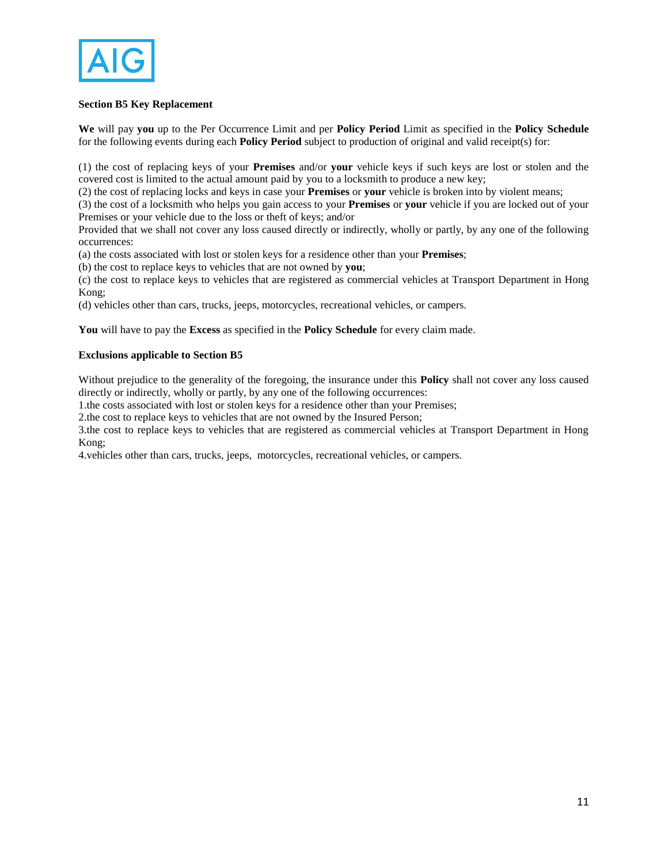

# **Section B5 Key Replacement**

**We** will pay **you** up to the Per Occurrence Limit and per **Policy Period** Limit as specified in the **Policy Schedule** for the following events during each **Policy Period** subject to production of original and valid receipt(s) for:

(1) the cost of replacing keys of your **Premises** and/or **your** vehicle keys if such keys are lost or stolen and the covered cost is limited to the actual amount paid by you to a locksmith to produce a new key;

(2) the cost of replacing locks and keys in case your **Premises** or **your** vehicle is broken into by violent means;

(3) the cost of a locksmith who helps you gain access to your **Premises** or **your** vehicle if you are locked out of your Premises or your vehicle due to the loss or theft of keys; and/or

Provided that we shall not cover any loss caused directly or indirectly, wholly or partly, by any one of the following occurrences:

(a) the costs associated with lost or stolen keys for a residence other than your **Premises**;

(b) the cost to replace keys to vehicles that are not owned by **you**;

(c) the cost to replace keys to vehicles that are registered as commercial vehicles at Transport Department in Hong Kong;

(d) vehicles other than cars, trucks, jeeps, motorcycles, recreational vehicles, or campers.

**You** will have to pay the **Excess** as specified in the **Policy Schedule** for every claim made.

### **Exclusions applicable to Section B5**

Without prejudice to the generality of the foregoing, the insurance under this **Policy** shall not cover any loss caused directly or indirectly, wholly or partly, by any one of the following occurrences:

1.the costs associated with lost or stolen keys for a residence other than your Premises;

2.the cost to replace keys to vehicles that are not owned by the Insured Person;

3.the cost to replace keys to vehicles that are registered as commercial vehicles at Transport Department in Hong Kong;

4.vehicles other than cars, trucks, jeeps, motorcycles, recreational vehicles, or campers.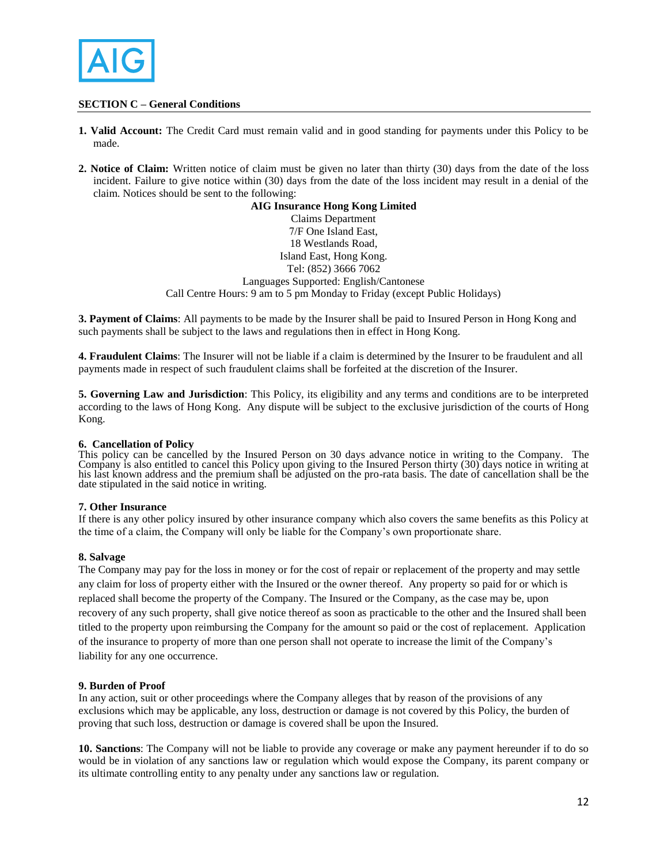

# **SECTION C – General Conditions**

- **1. Valid Account:** The Credit Card must remain valid and in good standing for payments under this Policy to be made.
- **2. Notice of Claim:** Written notice of claim must be given no later than thirty (30) days from the date of the loss incident. Failure to give notice within (30) days from the date of the loss incident may result in a denial of the claim. Notices should be sent to the following:

## **AIG Insurance Hong Kong Limited**  Claims Department 7/F One Island East, 18 Westlands Road, Island East, Hong Kong. Tel: (852) 3666 7062 Languages Supported: English/Cantonese

Call Centre Hours: 9 am to 5 pm Monday to Friday (except Public Holidays)

**3. Payment of Claims**: All payments to be made by the Insurer shall be paid to Insured Person in Hong Kong and such payments shall be subject to the laws and regulations then in effect in Hong Kong.

**4. Fraudulent Claims**: The Insurer will not be liable if a claim is determined by the Insurer to be fraudulent and all payments made in respect of such fraudulent claims shall be forfeited at the discretion of the Insurer.

**5. Governing Law and Jurisdiction**: This Policy, its eligibility and any terms and conditions are to be interpreted according to the laws of Hong Kong. Any dispute will be subject to the exclusive jurisdiction of the courts of Hong Kong.

# **6. Cancellation of Policy**

This policy can be cancelled by the Insured Person on 30 days advance notice in writing to the Company. The Company is also entitled to cancel this Policy upon giving to the Insured Person thirty (30) days notice in writing at his last known address and the premium shall be adjusted on the pro-rata basis. The date of cancellation shall be the date stipulated in the said notice in writing.

# **7. Other Insurance**

If there is any other policy insured by other insurance company which also covers the same benefits as this Policy at the time of a claim, the Company will only be liable for the Company's own proportionate share.

# **8. Salvage**

The Company may pay for the loss in money or for the cost of repair or replacement of the property and may settle any claim for loss of property either with the Insured or the owner thereof. Any property so paid for or which is replaced shall become the property of the Company. The Insured or the Company, as the case may be, upon recovery of any such property, shall give notice thereof as soon as practicable to the other and the Insured shall been titled to the property upon reimbursing the Company for the amount so paid or the cost of replacement. Application of the insurance to property of more than one person shall not operate to increase the limit of the Company's liability for any one occurrence.

#### **9. Burden of Proof**

In any action, suit or other proceedings where the Company alleges that by reason of the provisions of any exclusions which may be applicable, any loss, destruction or damage is not covered by this Policy, the burden of proving that such loss, destruction or damage is covered shall be upon the Insured.

**10. Sanctions**: The Company will not be liable to provide any coverage or make any payment hereunder if to do so would be in violation of any sanctions law or regulation which would expose the Company, its parent company or its ultimate controlling entity to any penalty under any sanctions law or regulation.